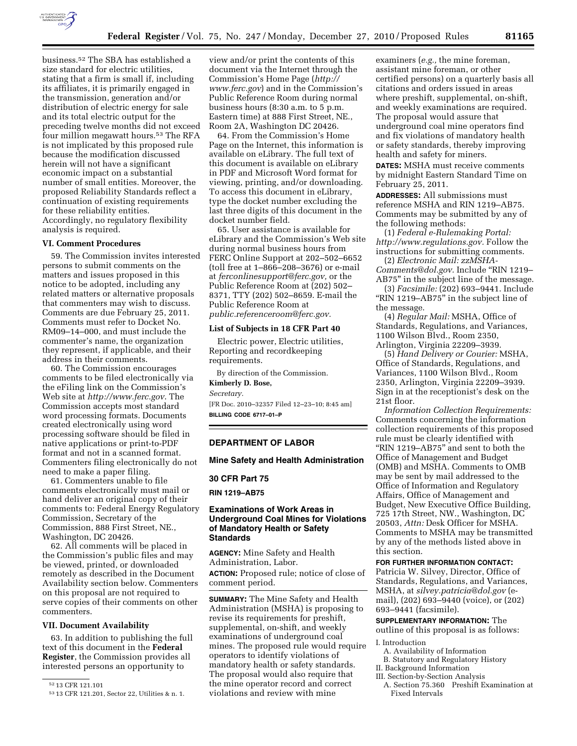

business.52 The SBA has established a size standard for electric utilities, stating that a firm is small if, including its affiliates, it is primarily engaged in the transmission, generation and/or distribution of electric energy for sale and its total electric output for the preceding twelve months did not exceed four million megawatt hours.53 The RFA is not implicated by this proposed rule because the modification discussed herein will not have a significant economic impact on a substantial number of small entities. Moreover, the proposed Reliability Standards reflect a continuation of existing requirements for these reliability entities. Accordingly, no regulatory flexibility analysis is required.

#### **VI. Comment Procedures**

59. The Commission invites interested persons to submit comments on the matters and issues proposed in this notice to be adopted, including any related matters or alternative proposals that commenters may wish to discuss. Comments are due February 25, 2011. Comments must refer to Docket No. RM09–14–000, and must include the commenter's name, the organization they represent, if applicable, and their address in their comments.

60. The Commission encourages comments to be filed electronically via the eFiling link on the Commission's Web site at *<http://www.ferc.gov>*. The Commission accepts most standard word processing formats. Documents created electronically using word processing software should be filed in native applications or print-to-PDF format and not in a scanned format. Commenters filing electronically do not need to make a paper filing.

61. Commenters unable to file comments electronically must mail or hand deliver an original copy of their comments to: Federal Energy Regulatory Commission, Secretary of the Commission, 888 First Street, NE., Washington, DC 20426.

62. All comments will be placed in the Commission's public files and may be viewed, printed, or downloaded remotely as described in the Document Availability section below. Commenters on this proposal are not required to serve copies of their comments on other commenters.

#### **VII. Document Availability**

63. In addition to publishing the full text of this document in the **Federal Register**, the Commission provides all interested persons an opportunity to

view and/or print the contents of this document via the Internet through the Commission's Home Page (*[http://](http://www.ferc.gov) [www.ferc.gov](http://www.ferc.gov)*) and in the Commission's Public Reference Room during normal business hours (8:30 a.m. to 5 p.m. Eastern time) at 888 First Street, NE., Room 2A, Washington DC 20426.

64. From the Commission's Home Page on the Internet, this information is available on eLibrary. The full text of this document is available on eLibrary in PDF and Microsoft Word format for viewing, printing, and/or downloading. To access this document in eLibrary, type the docket number excluding the last three digits of this document in the docket number field.

65. User assistance is available for eLibrary and the Commission's Web site during normal business hours from FERC Online Support at 202–502–6652 (toll free at 1–866–208–3676) or e-mail at *[ferconlinesupport@ferc.gov,](mailto:ferconlinesupport@ferc.gov)* or the Public Reference Room at (202) 502– 8371, TTY (202) 502–8659. E-mail the Public Reference Room at *[public.referenceroom@ferc.gov.](mailto:public.referenceroom@ferc.gov)* 

#### **List of Subjects in 18 CFR Part 40**

Electric power, Electric utilities, Reporting and recordkeeping requirements.

By direction of the Commission.

# **Kimberly D. Bose,**

*Secretary.* 

[FR Doc. 2010–32357 Filed 12–23–10; 8:45 am] **BILLING CODE 6717–01–P** 

# **DEPARTMENT OF LABOR**

**Mine Safety and Health Administration** 

#### **30 CFR Part 75**

**RIN 1219–AB75** 

### **Examinations of Work Areas in Underground Coal Mines for Violations of Mandatory Health or Safety Standards**

**AGENCY:** Mine Safety and Health Administration, Labor. **ACTION:** Proposed rule; notice of close of

comment period.

**SUMMARY:** The Mine Safety and Health Administration (MSHA) is proposing to revise its requirements for preshift, supplemental, on-shift, and weekly examinations of underground coal mines. The proposed rule would require operators to identify violations of mandatory health or safety standards. The proposal would also require that the mine operator record and correct violations and review with mine

examiners (*e.g.,* the mine foreman, assistant mine foreman, or other certified persons) on a quarterly basis all citations and orders issued in areas where preshift, supplemental, on-shift, and weekly examinations are required. The proposal would assure that underground coal mine operators find and fix violations of mandatory health or safety standards, thereby improving health and safety for miners.

**DATES:** MSHA must receive comments by midnight Eastern Standard Time on February 25, 2011.

**ADDRESSES:** All submissions must reference MSHA and RIN 1219–AB75. Comments may be submitted by any of the following methods:

(1) *Federal e-Rulemaking Portal: [http://www.regulations.gov.](http://www.regulations.gov)* Follow the instructions for submitting comments.

(2) *Electronic Mail: [zzMSHA-](mailto:zzMSHA-Comments@dol.gov)[Comments@dol.gov.](mailto:zzMSHA-Comments@dol.gov)* Include ''RIN 1219– AB75'' in the subject line of the message.

(3) *Facsimile:* (202) 693–9441. Include ''RIN 1219–AB75'' in the subject line of the message.

(4) *Regular Mail:* MSHA, Office of Standards, Regulations, and Variances, 1100 Wilson Blvd., Room 2350, Arlington, Virginia 22209–3939.

(5) *Hand Delivery or Courier:* MSHA, Office of Standards, Regulations, and Variances, 1100 Wilson Blvd., Room 2350, Arlington, Virginia 22209–3939. Sign in at the receptionist's desk on the 21st floor.

*Information Collection Requirements:*  Comments concerning the information collection requirements of this proposed rule must be clearly identified with ''RIN 1219–AB75'' and sent to both the Office of Management and Budget (OMB) and MSHA. Comments to OMB may be sent by mail addressed to the Office of Information and Regulatory Affairs, Office of Management and Budget, New Executive Office Building, 725 17th Street, NW., Washington, DC 20503, *Attn:* Desk Officer for MSHA. Comments to MSHA may be transmitted by any of the methods listed above in this section.

#### **FOR FURTHER INFORMATION CONTACT:**

Patricia W. Silvey, Director, Office of Standards, Regulations, and Variances, MSHA, at *[silvey.patricia@dol.gov](mailto:silvey.patricia@dol.gov)* (email), (202) 693–9440 (voice), or (202) 693–9441 (facsimile).

# **SUPPLEMENTARY INFORMATION:** The

outline of this proposal is as follows: I. Introduction

- A. Availability of Information
- B. Statutory and Regulatory History
- II. Background Information
- III. Section-by-Section Analysis

<sup>52</sup> 13 CFR 121.101

<sup>53</sup> 13 CFR 121.201, Sector 22, Utilities & n. 1.

A. Section 75.360 Preshift Examination at Fixed Intervals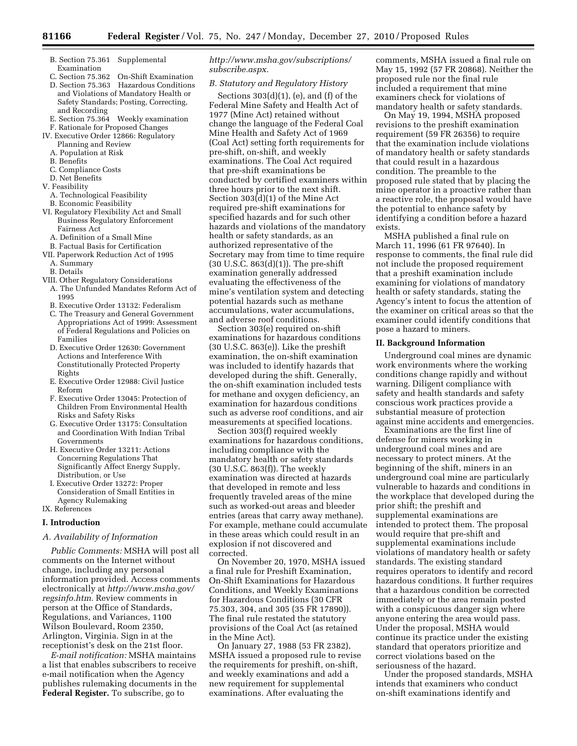- B. Section 75.361 Supplemental Examination<br>C. Section 75.362
- **On-Shift Examination** D. Section 75.363 Hazardous Conditions and Violations of Mandatory Health or Safety Standards; Posting, Correcting, and Recording
- E. Section 75.364 Weekly examination F. Rationale for Proposed Changes
- IV. Executive Order 12866: Regulatory
- Planning and Review
- A. Population at Risk
- B. Benefits
- C. Compliance Costs
- D. Net Benefits
- V. Feasibility
- A. Technological Feasibility
- B. Economic Feasibility
- VI. Regulatory Flexibility Act and Small Business Regulatory Enforcement Fairness Act
	- A. Definition of a Small Mine
	- B. Factual Basis for Certification
- VII. Paperwork Reduction Act of 1995
	- A. Summary
	- B. Details
- VIII. Other Regulatory Considerations
- A. The Unfunded Mandates Reform Act of 1995
- B. Executive Order 13132: Federalism
- C. The Treasury and General Government Appropriations Act of 1999: Assessment of Federal Regulations and Policies on Families
- D. Executive Order 12630: Government Actions and Interference With Constitutionally Protected Property Rights
- E. Executive Order 12988: Civil Justice Reform
- F. Executive Order 13045: Protection of Children From Environmental Health Risks and Safety Risks
- G. Executive Order 13175: Consultation and Coordination With Indian Tribal Governments
- H. Executive Order 13211: Actions Concerning Regulations That Significantly Affect Energy Supply, Distribution, or Use
- I. Executive Order 13272: Proper Consideration of Small Entities in Agency Rulemaking

IX. References

## **I. Introduction**

# *A. Availability of Information*

*Public Comments:* MSHA will post all comments on the Internet without change, including any personal information provided. Access comments electronically at *[http://www.msha.gov/](http://www.msha.gov/regsinfo.htm) [regsinfo.htm.](http://www.msha.gov/regsinfo.htm)* Review comments in person at the Office of Standards, Regulations, and Variances, 1100 Wilson Boulevard, Room 2350, Arlington, Virginia. Sign in at the receptionist's desk on the 21st floor.

*E-mail notification:* MSHA maintains a list that enables subscribers to receive e-mail notification when the Agency publishes rulemaking documents in the **Federal Register.** To subscribe, go to

# *[http://www.msha.gov/subscriptions/](http://www.msha.gov/subscriptions/subscribe.aspx) [subscribe.aspx.](http://www.msha.gov/subscriptions/subscribe.aspx)*

# *B. Statutory and Regulatory History*

Sections  $303(d)(1)$ , (e), and (f) of the Federal Mine Safety and Health Act of 1977 (Mine Act) retained without change the language of the Federal Coal Mine Health and Safety Act of 1969 (Coal Act) setting forth requirements for pre-shift, on-shift, and weekly examinations. The Coal Act required that pre-shift examinations be conducted by certified examiners within three hours prior to the next shift. Section 303(d)(1) of the Mine Act required pre-shift examinations for specified hazards and for such other hazards and violations of the mandatory health or safety standards, as an authorized representative of the Secretary may from time to time require  $(30 U.S.C. 863(d)(1))$ . The pre-shift examination generally addressed evaluating the effectiveness of the mine's ventilation system and detecting potential hazards such as methane accumulations, water accumulations, and adverse roof conditions.

Section 303(e) required on-shift examinations for hazardous conditions (30 U.S.C. 863(e)). Like the preshift examination, the on-shift examination was included to identify hazards that developed during the shift. Generally, the on-shift examination included tests for methane and oxygen deficiency, an examination for hazardous conditions such as adverse roof conditions, and air measurements at specified locations.

Section 303(f) required weekly examinations for hazardous conditions, including compliance with the mandatory health or safety standards (30 U.S.C. 863(f)). The weekly examination was directed at hazards that developed in remote and less frequently traveled areas of the mine such as worked-out areas and bleeder entries (areas that carry away methane). For example, methane could accumulate in these areas which could result in an explosion if not discovered and corrected.

On November 20, 1970, MSHA issued a final rule for Preshift Examination, On-Shift Examinations for Hazardous Conditions, and Weekly Examinations for Hazardous Conditions (30 CFR 75.303, 304, and 305 (35 FR 17890)). The final rule restated the statutory provisions of the Coal Act (as retained in the Mine Act).

On January 27, 1988 (53 FR 2382), MSHA issued a proposed rule to revise the requirements for preshift, on-shift, and weekly examinations and add a new requirement for supplemental examinations. After evaluating the

comments, MSHA issued a final rule on May 15, 1992 (57 FR 20868). Neither the proposed rule nor the final rule included a requirement that mine examiners check for violations of mandatory health or safety standards.

On May 19, 1994, MSHA proposed revisions to the preshift examination requirement (59 FR 26356) to require that the examination include violations of mandatory health or safety standards that could result in a hazardous condition. The preamble to the proposed rule stated that by placing the mine operator in a proactive rather than a reactive role, the proposal would have the potential to enhance safety by identifying a condition before a hazard exists.

MSHA published a final rule on March 11, 1996 (61 FR 97640). In response to comments, the final rule did not include the proposed requirement that a preshift examination include examining for violations of mandatory health or safety standards, stating the Agency's intent to focus the attention of the examiner on critical areas so that the examiner could identify conditions that pose a hazard to miners.

### **II. Background Information**

Underground coal mines are dynamic work environments where the working conditions change rapidly and without warning. Diligent compliance with safety and health standards and safety conscious work practices provide a substantial measure of protection against mine accidents and emergencies.

Examinations are the first line of defense for miners working in underground coal mines and are necessary to protect miners. At the beginning of the shift, miners in an underground coal mine are particularly vulnerable to hazards and conditions in the workplace that developed during the prior shift; the preshift and supplemental examinations are intended to protect them. The proposal would require that pre-shift and supplemental examinations include violations of mandatory health or safety standards. The existing standard requires operators to identify and record hazardous conditions. It further requires that a hazardous condition be corrected immediately or the area remain posted with a conspicuous danger sign where anyone entering the area would pass. Under the proposal, MSHA would continue its practice under the existing standard that operators prioritize and correct violations based on the seriousness of the hazard.

Under the proposed standards, MSHA intends that examiners who conduct on-shift examinations identify and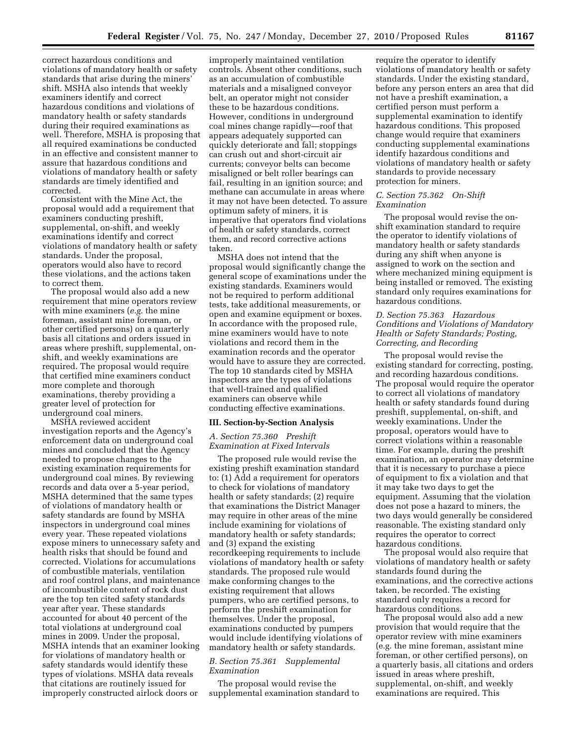correct hazardous conditions and violations of mandatory health or safety standards that arise during the miners' shift. MSHA also intends that weekly examiners identify and correct hazardous conditions and violations of mandatory health or safety standards during their required examinations as well. Therefore, MSHA is proposing that all required examinations be conducted in an effective and consistent manner to assure that hazardous conditions and violations of mandatory health or safety standards are timely identified and corrected.

Consistent with the Mine Act, the proposal would add a requirement that examiners conducting preshift, supplemental, on-shift, and weekly examinations identify and correct violations of mandatory health or safety standards. Under the proposal, operators would also have to record these violations, and the actions taken to correct them.

The proposal would also add a new requirement that mine operators review with mine examiners (*e.g.* the mine foreman, assistant mine foreman, or other certified persons) on a quarterly basis all citations and orders issued in areas where preshift, supplemental, onshift, and weekly examinations are required. The proposal would require that certified mine examiners conduct more complete and thorough examinations, thereby providing a greater level of protection for underground coal miners.

MSHA reviewed accident investigation reports and the Agency's enforcement data on underground coal mines and concluded that the Agency needed to propose changes to the existing examination requirements for underground coal mines. By reviewing records and data over a 5-year period, MSHA determined that the same types of violations of mandatory health or safety standards are found by MSHA inspectors in underground coal mines every year. These repeated violations expose miners to unnecessary safety and health risks that should be found and corrected. Violations for accumulations of combustible materials, ventilation and roof control plans, and maintenance of incombustible content of rock dust are the top ten cited safety standards year after year. These standards accounted for about 40 percent of the total violations at underground coal mines in 2009. Under the proposal, MSHA intends that an examiner looking for violations of mandatory health or safety standards would identify these types of violations. MSHA data reveals that citations are routinely issued for improperly constructed airlock doors or

improperly maintained ventilation controls. Absent other conditions, such as an accumulation of combustible materials and a misaligned conveyor belt, an operator might not consider these to be hazardous conditions. However, conditions in underground coal mines change rapidly—roof that appears adequately supported can quickly deteriorate and fall; stoppings can crush out and short-circuit air currents; conveyor belts can become misaligned or belt roller bearings can fail, resulting in an ignition source; and methane can accumulate in areas where it may not have been detected. To assure optimum safety of miners, it is imperative that operators find violations of health or safety standards, correct them, and record corrective actions taken.

MSHA does not intend that the proposal would significantly change the general scope of examinations under the existing standards. Examiners would not be required to perform additional tests, take additional measurements, or open and examine equipment or boxes. In accordance with the proposed rule, mine examiners would have to note violations and record them in the examination records and the operator would have to assure they are corrected. The top 10 standards cited by MSHA inspectors are the types of violations that well-trained and qualified examiners can observe while conducting effective examinations.

#### **III. Section-by-Section Analysis**

#### *A. Section 75.360 Preshift Examination at Fixed Intervals*

The proposed rule would revise the existing preshift examination standard to: (1) Add a requirement for operators to check for violations of mandatory health or safety standards; (2) require that examinations the District Manager may require in other areas of the mine include examining for violations of mandatory health or safety standards; and (3) expand the existing recordkeeping requirements to include violations of mandatory health or safety standards. The proposed rule would make conforming changes to the existing requirement that allows pumpers, who are certified persons, to perform the preshift examination for themselves. Under the proposal, examinations conducted by pumpers would include identifying violations of mandatory health or safety standards.

# *B. Section 75.361 Supplemental Examination*

The proposal would revise the supplemental examination standard to require the operator to identify violations of mandatory health or safety standards. Under the existing standard, before any person enters an area that did not have a preshift examination, a certified person must perform a supplemental examination to identify hazardous conditions. This proposed change would require that examiners conducting supplemental examinations identify hazardous conditions and violations of mandatory health or safety standards to provide necessary protection for miners.

#### *C. Section 75.362 On-Shift Examination*

The proposal would revise the onshift examination standard to require the operator to identify violations of mandatory health or safety standards during any shift when anyone is assigned to work on the section and where mechanized mining equipment is being installed or removed. The existing standard only requires examinations for hazardous conditions.

### *D. Section 75.363 Hazardous Conditions and Violations of Mandatory Health or Safety Standards; Posting, Correcting, and Recording*

The proposal would revise the existing standard for correcting, posting, and recording hazardous conditions. The proposal would require the operator to correct all violations of mandatory health or safety standards found during preshift, supplemental, on-shift, and weekly examinations. Under the proposal, operators would have to correct violations within a reasonable time. For example, during the preshift examination, an operator may determine that it is necessary to purchase a piece of equipment to fix a violation and that it may take two days to get the equipment. Assuming that the violation does not pose a hazard to miners, the two days would generally be considered reasonable. The existing standard only requires the operator to correct hazardous conditions.

The proposal would also require that violations of mandatory health or safety standards found during the examinations, and the corrective actions taken, be recorded. The existing standard only requires a record for hazardous conditions.

The proposal would also add a new provision that would require that the operator review with mine examiners (e.g. the mine foreman, assistant mine foreman, or other certified persons), on a quarterly basis, all citations and orders issued in areas where preshift, supplemental, on-shift, and weekly examinations are required. This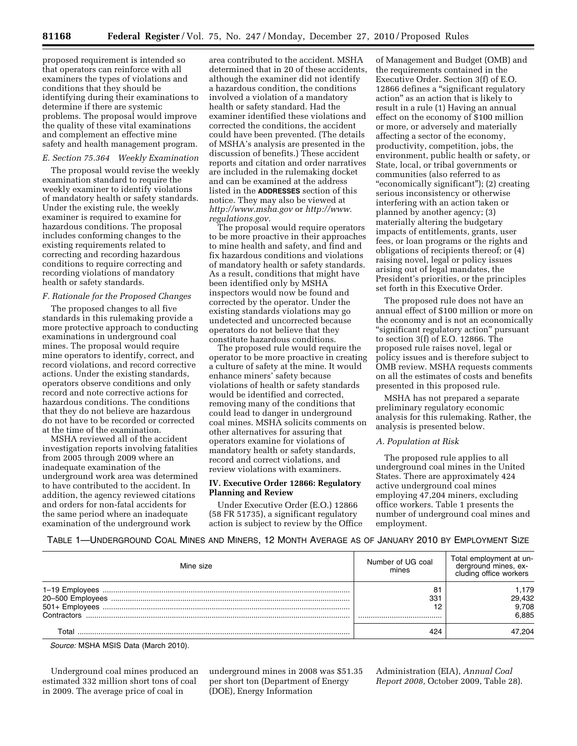proposed requirement is intended so that operators can reinforce with all examiners the types of violations and conditions that they should be identifying during their examinations to determine if there are systemic problems. The proposal would improve the quality of these vital examinations and complement an effective mine safety and health management program.

#### *E. Section 75.364 Weekly Examination*

The proposal would revise the weekly examination standard to require the weekly examiner to identify violations of mandatory health or safety standards. Under the existing rule, the weekly examiner is required to examine for hazardous conditions. The proposal includes conforming changes to the existing requirements related to correcting and recording hazardous conditions to require correcting and recording violations of mandatory health or safety standards.

#### *F. Rationale for the Proposed Changes*

The proposed changes to all five standards in this rulemaking provide a more protective approach to conducting examinations in underground coal mines. The proposal would require mine operators to identify, correct, and record violations, and record corrective actions. Under the existing standards, operators observe conditions and only record and note corrective actions for hazardous conditions. The conditions that they do not believe are hazardous do not have to be recorded or corrected at the time of the examination.

MSHA reviewed all of the accident investigation reports involving fatalities from 2005 through 2009 where an inadequate examination of the underground work area was determined to have contributed to the accident. In addition, the agency reviewed citations and orders for non-fatal accidents for the same period where an inadequate examination of the underground work

area contributed to the accident. MSHA determined that in 20 of these accidents, although the examiner did not identify a hazardous condition, the conditions involved a violation of a mandatory health or safety standard. Had the examiner identified these violations and corrected the conditions, the accident could have been prevented. (The details of MSHA's analysis are presented in the discussion of benefits.) These accident reports and citation and order narratives are included in the rulemaking docket and can be examined at the address listed in the **ADDRESSES** section of this notice. They may also be viewed at *<http://www.msha.gov>*or *[http://www.](http://www.regulations.gov) [regulations.gov.](http://www.regulations.gov)* 

The proposal would require operators to be more proactive in their approaches to mine health and safety, and find and fix hazardous conditions and violations of mandatory health or safety standards. As a result, conditions that might have been identified only by MSHA inspectors would now be found and corrected by the operator. Under the existing standards violations may go undetected and uncorrected because operators do not believe that they constitute hazardous conditions.

The proposed rule would require the operator to be more proactive in creating a culture of safety at the mine. It would enhance miners' safety because violations of health or safety standards would be identified and corrected, removing many of the conditions that could lead to danger in underground coal mines. MSHA solicits comments on other alternatives for assuring that operators examine for violations of mandatory health or safety standards, record and correct violations, and review violations with examiners.

### **IV. Executive Order 12866: Regulatory Planning and Review**

Under Executive Order (E.O.) 12866 (58 FR 51735), a significant regulatory action is subject to review by the Office of Management and Budget (OMB) and the requirements contained in the Executive Order. Section 3(f) of E.O. 12866 defines a ''significant regulatory action'' as an action that is likely to result in a rule (1) Having an annual effect on the economy of \$100 million or more, or adversely and materially affecting a sector of the economy, productivity, competition, jobs, the environment, public health or safety, or State, local, or tribal governments or communities (also referred to as ''economically significant''); (2) creating serious inconsistency or otherwise interfering with an action taken or planned by another agency; (3) materially altering the budgetary impacts of entitlements, grants, user fees, or loan programs or the rights and obligations of recipients thereof; or (4) raising novel, legal or policy issues arising out of legal mandates, the President's priorities, or the principles set forth in this Executive Order.

The proposed rule does not have an annual effect of \$100 million or more on the economy and is not an economically ''significant regulatory action'' pursuant to section 3(f) of E.O. 12866. The proposed rule raises novel, legal or policy issues and is therefore subject to OMB review. MSHA requests comments on all the estimates of costs and benefits presented in this proposed rule.

MSHA has not prepared a separate preliminary regulatory economic analysis for this rulemaking. Rather, the analysis is presented below.

# *A. Population at Risk*

The proposed rule applies to all underground coal mines in the United States. There are approximately 424 active underground coal mines employing 47,204 miners, excluding office workers. Table 1 presents the number of underground coal mines and employment.

# TABLE 1—UNDERGROUND COAL MINES AND MINERS, 12 MONTH AVERAGE AS OF JANUARY 2010 BY EMPLOYMENT SIZE

| Mine size                                                           | Number of UG coal<br>mines | Total employment at un-<br>deraround mines. ex-<br>cluding office workers |
|---------------------------------------------------------------------|----------------------------|---------------------------------------------------------------------------|
| 1-19 Employees<br>20-500 Employees<br>501+ Employees<br>Contractors | 81<br>331<br>12            | 1,179<br>29,432<br>9,708<br>6.885                                         |
| Total                                                               | 424                        | 47.204                                                                    |

*Source:* MSHA MSIS Data (March 2010).

Underground coal mines produced an estimated 332 million short tons of coal in 2009. The average price of coal in

underground mines in 2008 was \$51.35 per short ton (Department of Energy (DOE), Energy Information

Administration (EIA), *Annual Coal Report 2008,* October 2009, Table 28).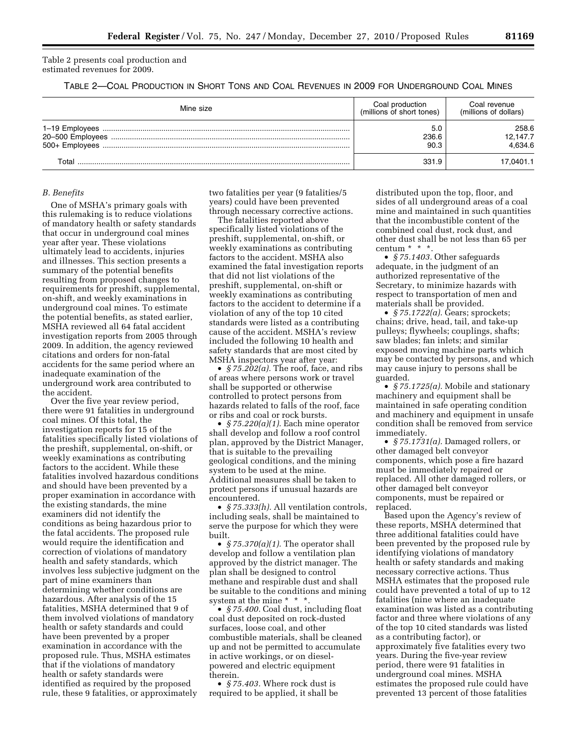Table 2 presents coal production and estimated revenues for 2009.

TABLE 2—COAL PRODUCTION IN SHORT TONS AND COAL REVENUES IN 2009 FOR UNDERGROUND COAL MINES

| Mine size        | Coal production<br>(millions of short tones) | Coal revenue<br>(millions of dollars) |
|------------------|----------------------------------------------|---------------------------------------|
| 20-500 Employees | 5.0<br>236.6<br>90.3                         | 258.6<br>12.147.7<br>4.634.6          |
| ™otal            | 331.9                                        | 17.0401.1                             |

#### *B. Benefits*

One of MSHA's primary goals with this rulemaking is to reduce violations of mandatory health or safety standards that occur in underground coal mines year after year. These violations ultimately lead to accidents, injuries and illnesses. This section presents a summary of the potential benefits resulting from proposed changes to requirements for preshift, supplemental, on-shift, and weekly examinations in underground coal mines. To estimate the potential benefits, as stated earlier, MSHA reviewed all 64 fatal accident investigation reports from 2005 through 2009. In addition, the agency reviewed citations and orders for non-fatal accidents for the same period where an inadequate examination of the underground work area contributed to the accident.

Over the five year review period, there were 91 fatalities in underground coal mines. Of this total, the investigation reports for 15 of the fatalities specifically listed violations of the preshift, supplemental, on-shift, or weekly examinations as contributing factors to the accident. While these fatalities involved hazardous conditions and should have been prevented by a proper examination in accordance with the existing standards, the mine examiners did not identify the conditions as being hazardous prior to the fatal accidents. The proposed rule would require the identification and correction of violations of mandatory health and safety standards, which involves less subjective judgment on the part of mine examiners than determining whether conditions are hazardous. After analysis of the 15 fatalities, MSHA determined that 9 of them involved violations of mandatory health or safety standards and could have been prevented by a proper examination in accordance with the proposed rule. Thus, MSHA estimates that if the violations of mandatory health or safety standards were identified as required by the proposed rule, these 9 fatalities, or approximately

two fatalities per year (9 fatalities/5 years) could have been prevented through necessary corrective actions.

The fatalities reported above specifically listed violations of the preshift, supplemental, on-shift, or weekly examinations as contributing factors to the accident. MSHA also examined the fatal investigation reports that did not list violations of the preshift, supplemental, on-shift or weekly examinations as contributing factors to the accident to determine if a violation of any of the top 10 cited standards were listed as a contributing cause of the accident. MSHA's review included the following 10 health and safety standards that are most cited by MSHA inspectors year after year:

• *§ 75.202(a).* The roof, face, and ribs of areas where persons work or travel shall be supported or otherwise controlled to protect persons from hazards related to falls of the roof, face or ribs and coal or rock bursts.

• *§ 75.220(a)(1).* Each mine operator shall develop and follow a roof control plan, approved by the District Manager, that is suitable to the prevailing geological conditions, and the mining system to be used at the mine. Additional measures shall be taken to protect persons if unusual hazards are encountered.

• *§ 75.333(h).* All ventilation controls, including seals, shall be maintained to serve the purpose for which they were built.

• *§ 75.370(a)(1).* The operator shall develop and follow a ventilation plan approved by the district manager. The plan shall be designed to control methane and respirable dust and shall be suitable to the conditions and mining system at the mine \* \* \*.

• *§ 75.400.* Coal dust, including float coal dust deposited on rock-dusted surfaces, loose coal, and other combustible materials, shall be cleaned up and not be permitted to accumulate in active workings, or on dieselpowered and electric equipment therein.

• *§ 75.403.* Where rock dust is required to be applied, it shall be

distributed upon the top, floor, and sides of all underground areas of a coal mine and maintained in such quantities that the incombustible content of the combined coal dust, rock dust, and other dust shall be not less than 65 per centum \* \* \*.

• *§ 75.1403.* Other safeguards adequate, in the judgment of an authorized representative of the Secretary, to minimize hazards with respect to transportation of men and materials shall be provided.

• *§ 75.1722(a).* Gears; sprockets; chains; drive, head, tail, and take-up pulleys; flywheels; couplings, shafts; saw blades; fan inlets; and similar exposed moving machine parts which may be contacted by persons, and which may cause injury to persons shall be guarded.

• *§ 75.1725(a).* Mobile and stationary machinery and equipment shall be maintained in safe operating condition and machinery and equipment in unsafe condition shall be removed from service immediately.

• *§ 75.1731(a).* Damaged rollers, or other damaged belt conveyor components, which pose a fire hazard must be immediately repaired or replaced. All other damaged rollers, or other damaged belt conveyor components, must be repaired or replaced.

Based upon the Agency's review of these reports, MSHA determined that three additional fatalities could have been prevented by the proposed rule by identifying violations of mandatory health or safety standards and making necessary corrective actions. Thus MSHA estimates that the proposed rule could have prevented a total of up to 12 fatalities (nine where an inadequate examination was listed as a contributing factor and three where violations of any of the top 10 cited standards was listed as a contributing factor), or approximately five fatalities every two years. During the five-year review period, there were 91 fatalities in underground coal mines. MSHA estimates the proposed rule could have prevented 13 percent of those fatalities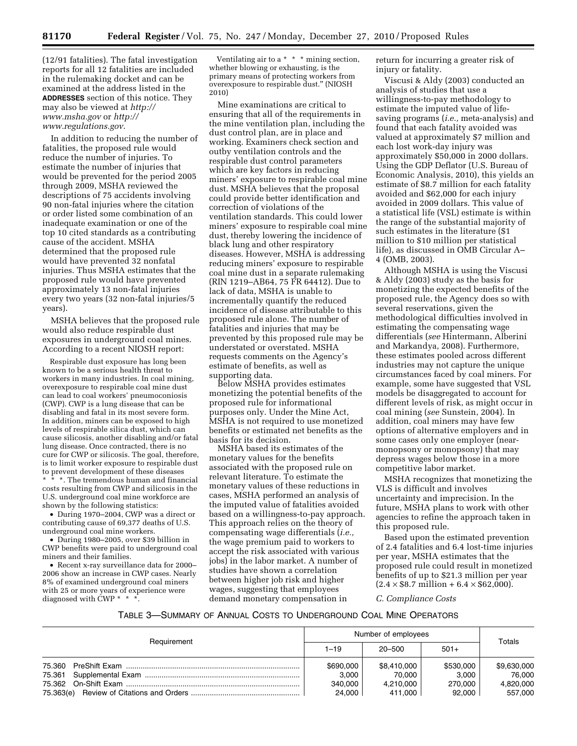(12/91 fatalities). The fatal investigation reports for all 12 fatalities are included in the rulemaking docket and can be examined at the address listed in the **ADDRESSES** section of this notice. They may also be viewed at *[http://](http://www.msha.gov)  [www.msha.gov](http://www.msha.gov)* or *[http://](http://www.regulations.gov) [www.regulations.gov](http://www.regulations.gov)*.

In addition to reducing the number of fatalities, the proposed rule would reduce the number of injuries. To estimate the number of injuries that would be prevented for the period 2005 through 2009, MSHA reviewed the descriptions of 75 accidents involving 90 non-fatal injuries where the citation or order listed some combination of an inadequate examination or one of the top 10 cited standards as a contributing cause of the accident. MSHA determined that the proposed rule would have prevented 32 nonfatal injuries. Thus MSHA estimates that the proposed rule would have prevented approximately 13 non-fatal injuries every two years (32 non-fatal injuries/5 years).

MSHA believes that the proposed rule would also reduce respirable dust exposures in underground coal mines. According to a recent NIOSH report:

Respirable dust exposure has long been known to be a serious health threat to workers in many industries. In coal mining, overexposure to respirable coal mine dust can lead to coal workers' pneumoconiosis (CWP). CWP is a lung disease that can be disabling and fatal in its most severe form. In addition, miners can be exposed to high levels of respirable silica dust, which can cause silicosis, another disabling and/or fatal lung disease. Once contracted, there is no cure for CWP or silicosis. The goal, therefore, is to limit worker exposure to respirable dust to prevent development of these diseases \* \*. The tremendous human and financial costs resulting from CWP and silicosis in the U.S. underground coal mine workforce are shown by the following statistics:

• During 1970–2004, CWP was a direct or contributing cause of 69,377 deaths of U.S. underground coal mine workers.

• During 1980–2005, over \$39 billion in CWP benefits were paid to underground coal miners and their families.

• Recent x-ray surveillance data for 2000– 2006 show an increase in CWP cases. Nearly 8% of examined underground coal miners with 25 or more years of experience were diagnosed with CWP \* \* \*.

Ventilating air to a \* \* \* mining section, whether blowing or exhausting, is the primary means of protecting workers from overexposure to respirable dust.'' (NIOSH 2010)

Mine examinations are critical to ensuring that all of the requirements in the mine ventilation plan, including the dust control plan, are in place and working. Examiners check section and outby ventilation controls and the respirable dust control parameters which are key factors in reducing miners' exposure to respirable coal mine dust. MSHA believes that the proposal could provide better identification and correction of violations of the ventilation standards. This could lower miners' exposure to respirable coal mine dust, thereby lowering the incidence of black lung and other respiratory diseases. However, MSHA is addressing reducing miners' exposure to respirable coal mine dust in a separate rulemaking (RIN 1219–AB64, 75 FR 64412). Due to lack of data, MSHA is unable to incrementally quantify the reduced incidence of disease attributable to this proposed rule alone. The number of fatalities and injuries that may be prevented by this proposed rule may be understated or overstated. MSHA requests comments on the Agency's estimate of benefits, as well as supporting data.

Below MSHA provides estimates monetizing the potential benefits of the proposed rule for informational purposes only. Under the Mine Act, MSHA is not required to use monetized benefits or estimated net benefits as the basis for its decision.

MSHA based its estimates of the monetary values for the benefits associated with the proposed rule on relevant literature. To estimate the monetary values of these reductions in cases, MSHA performed an analysis of the imputed value of fatalities avoided based on a willingness-to-pay approach. This approach relies on the theory of compensating wage differentials (*i.e.,*  the wage premium paid to workers to accept the risk associated with various jobs) in the labor market. A number of studies have shown a correlation between higher job risk and higher wages, suggesting that employees demand monetary compensation in

return for incurring a greater risk of injury or fatality.

Viscusi & Aldy (2003) conducted an analysis of studies that use a willingness-to-pay methodology to estimate the imputed value of lifesaving programs (*i.e.,* meta-analysis) and found that each fatality avoided was valued at approximately \$7 million and each lost work-day injury was approximately \$50,000 in 2000 dollars. Using the GDP Deflator (U.S. Bureau of Economic Analysis, 2010), this yields an estimate of \$8.7 million for each fatality avoided and \$62,000 for each injury avoided in 2009 dollars. This value of a statistical life (VSL) estimate is within the range of the substantial majority of such estimates in the literature (\$1 million to \$10 million per statistical life), as discussed in OMB Circular A– 4 (OMB, 2003).

Although MSHA is using the Viscusi & Aldy (2003) study as the basis for monetizing the expected benefits of the proposed rule, the Agency does so with several reservations, given the methodological difficulties involved in estimating the compensating wage differentials (*see* Hintermann, Alberini and Markandya, 2008). Furthermore, these estimates pooled across different industries may not capture the unique circumstances faced by coal miners. For example, some have suggested that VSL models be disaggregated to account for different levels of risk, as might occur in coal mining (*see* Sunstein, 2004). In addition, coal miners may have few options of alternative employers and in some cases only one employer (nearmonopsony or monopsony) that may depress wages below those in a more competitive labor market.

MSHA recognizes that monetizing the VLS is difficult and involves uncertainty and imprecision. In the future, MSHA plans to work with other agencies to refine the approach taken in this proposed rule.

Based upon the estimated prevention of 2.4 fatalities and 6.4 lost-time injuries per year, MSHA estimates that the proposed rule could result in monetized benefits of up to \$21.3 million per year  $(2.4 \times $8.7 \text{ million} + 6.4 \times $62,000)$ .

*C. Compliance Costs* 

#### TABLE 3—SUMMARY OF ANNUAL COSTS TO UNDERGROUND COAL MINE OPERATORS

|             |          | Number of employees |             |           | Totals      |
|-------------|----------|---------------------|-------------|-----------|-------------|
| Requirement | $1 - 19$ | 20-500              | $501+$      |           |             |
|             |          | \$690,000           | \$8,410,000 | \$530,000 | \$9,630,000 |
|             |          | 3.000               | 70.000      | 3.000     | 76.000      |
|             |          | 340.000             | 4,210,000   | 270.000   | 4,820,000   |
|             |          | 24.000              | 411.000     | 92.000    | 557.000     |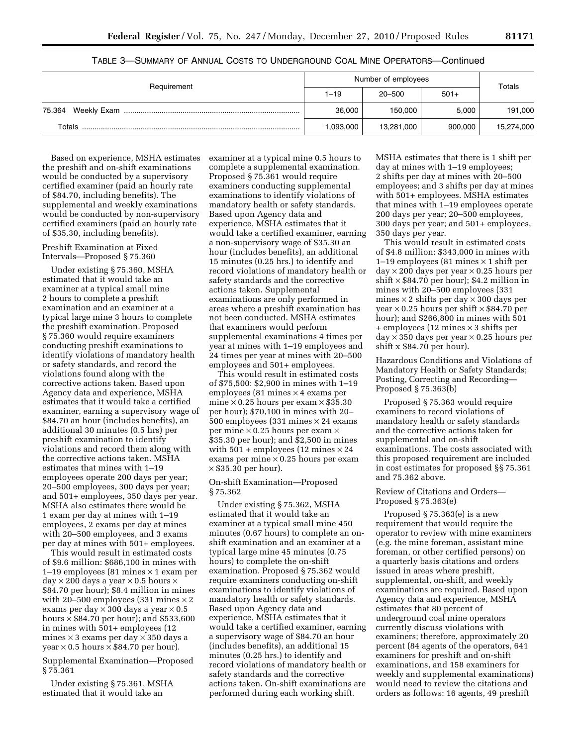|                       | Number of employees |            |         | Totals     |
|-----------------------|---------------------|------------|---------|------------|
| Requirement           | $1 - 19$            | $20 - 500$ | $501+$  |            |
| Weekly Exam<br>75.364 | 36.000              | 150,000    | 5.000   | 191,000    |
| Totals                | 1,093,000           | 13,281,000 | 900.000 | 15,274,000 |

### TABLE 3—SUMMARY OF ANNUAL COSTS TO UNDERGROUND COAL MINE OPERATORS—Continued

Based on experience, MSHA estimates the preshift and on-shift examinations would be conducted by a supervisory certified examiner (paid an hourly rate of \$84.70, including benefits). The supplemental and weekly examinations would be conducted by non-supervisory certified examiners (paid an hourly rate of \$35.30, including benefits).

### Preshift Examination at Fixed Intervals—Proposed § 75.360

Under existing § 75.360, MSHA estimated that it would take an examiner at a typical small mine 2 hours to complete a preshift examination and an examiner at a typical large mine 3 hours to complete the preshift examination. Proposed § 75.360 would require examiners conducting preshift examinations to identify violations of mandatory health or safety standards, and record the violations found along with the corrective actions taken. Based upon Agency data and experience, MSHA estimates that it would take a certified examiner, earning a supervisory wage of \$84.70 an hour (includes benefits), an additional 30 minutes (0.5 hrs) per preshift examination to identify violations and record them along with the corrective actions taken. MSHA estimates that mines with 1–19 employees operate 200 days per year; 20–500 employees, 300 days per year; and 501+ employees, 350 days per year. MSHA also estimates there would be 1 exam per day at mines with 1–19 employees, 2 exams per day at mines with 20–500 employees, and 3 exams per day at mines with 501+ employees.

This would result in estimated costs of \$9.6 million: \$686,100 in mines with 1–19 employees (81 mines  $\times$  1 exam per  $day \times 200$  days a year  $\times 0.5$  hours  $\times$ \$84.70 per hour); \$8.4 million in mines with 20–500 employees (331 mines  $\times$  2 exams per day  $\times$  300 days a year  $\times$  0.5 hours  $\times$  \$84.70 per hour); and \$533,600 in mines with 501+ employees (12 mines × 3 exams per day × 350 days a year  $\times$  0.5 hours  $\times$  \$84.70 per hour).

Supplemental Examination—Proposed § 75.361

Under existing § 75.361, MSHA estimated that it would take an

examiner at a typical mine 0.5 hours to complete a supplemental examination. Proposed § 75.361 would require examiners conducting supplemental examinations to identify violations of mandatory health or safety standards. Based upon Agency data and experience, MSHA estimates that it would take a certified examiner, earning a non-supervisory wage of \$35.30 an hour (includes benefits), an additional 15 minutes (0.25 hrs.) to identify and record violations of mandatory health or safety standards and the corrective actions taken. Supplemental examinations are only performed in areas where a preshift examination has not been conducted. MSHA estimates that examiners would perform supplemental examinations 4 times per year at mines with 1–19 employees and 24 times per year at mines with 20–500 employees and 501+ employees.

This would result in estimated costs of \$75,500: \$2,900 in mines with 1–19 employees (81 mines  $\times$  4 exams per mine  $\times$  0.25 hours per exam  $\times$  \$35.30 per hour); \$70,100 in mines with 20– 500 employees (331 mines  $\times$  24 exams per mine  $\times$  0.25 hours per exam  $\times$ \$35.30 per hour); and \$2,500 in mines with  $501 +$  employees (12 mines  $\times 24$ exams per mine  $\times$  0.25 hours per exam  $\times$  \$35.30 per hour).

### On-shift Examination—Proposed § 75.362

Under existing § 75.362, MSHA estimated that it would take an examiner at a typical small mine 450 minutes (0.67 hours) to complete an onshift examination and an examiner at a typical large mine 45 minutes (0.75 hours) to complete the on-shift examination. Proposed § 75.362 would require examiners conducting on-shift examinations to identify violations of mandatory health or safety standards. Based upon Agency data and experience, MSHA estimates that it would take a certified examiner, earning a supervisory wage of \$84.70 an hour (includes benefits), an additional 15 minutes (0.25 hrs.) to identify and record violations of mandatory health or safety standards and the corrective actions taken. On-shift examinations are performed during each working shift.

MSHA estimates that there is 1 shift per day at mines with 1–19 employees; 2 shifts per day at mines with 20–500 employees; and 3 shifts per day at mines with 501+ employees. MSHA estimates that mines with 1–19 employees operate 200 days per year; 20–500 employees, 300 days per year; and 501+ employees, 350 days per year.

This would result in estimated costs of \$4.8 million: \$343,000 in mines with 1–19 employees (81 mines  $\times$  1 shift per  $day \times 200$  days per year  $\times 0.25$  hours per  $shift \times $84.70$  per hour); \$4.2 million in mines with 20–500 employees (331 mines  $\times$  2 shifts per day  $\times$  300 days per year  $\times$  0.25 hours per shift  $\times$  \$84.70 per hour); and \$266,800 in mines with 501  $+$  employees (12 mines  $\times$  3 shifts per  $day \times 350$  days per year  $\times 0.25$  hours per shift x \$84.70 per hour).

Hazardous Conditions and Violations of Mandatory Health or Safety Standards; Posting, Correcting and Recording— Proposed § 75.363(b)

Proposed § 75.363 would require examiners to record violations of mandatory health or safety standards and the corrective actions taken for supplemental and on-shift examinations. The costs associated with this proposed requirement are included in cost estimates for proposed §§ 75.361 and 75.362 above.

#### Review of Citations and Orders— Proposed § 75.363(e)

Proposed § 75.363(e) is a new requirement that would require the operator to review with mine examiners (e.g. the mine foreman, assistant mine foreman, or other certified persons) on a quarterly basis citations and orders issued in areas where preshift, supplemental, on-shift, and weekly examinations are required. Based upon Agency data and experience, MSHA estimates that 80 percent of underground coal mine operators currently discuss violations with examiners; therefore, approximately 20 percent (84 agents of the operators, 641 examiners for preshift and on-shift examinations, and 158 examiners for weekly and supplemental examinations) would need to review the citations and orders as follows: 16 agents, 49 preshift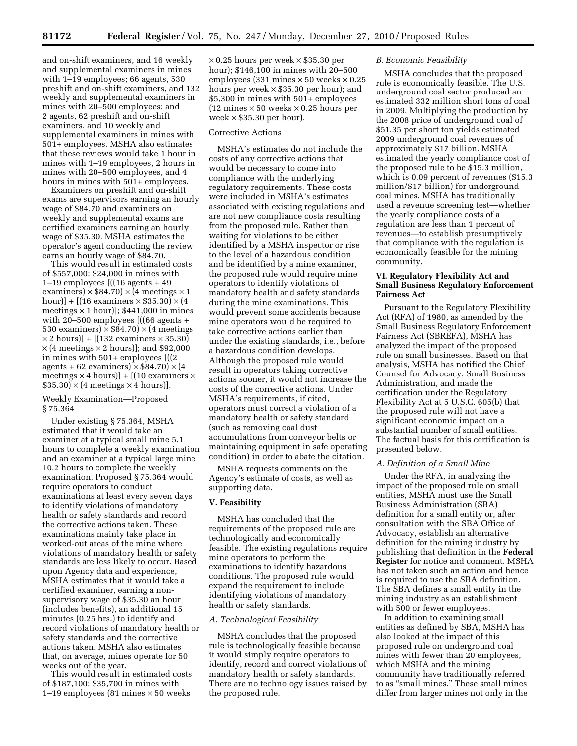and on-shift examiners, and 16 weekly and supplemental examiners in mines with 1–19 employees; 66 agents, 530 preshift and on-shift examiners, and 132 weekly and supplemental examiners in mines with 20–500 employees; and 2 agents, 62 preshift and on-shift examiners, and 10 weekly and supplemental examiners in mines with 501+ employees. MSHA also estimates that these reviews would take 1 hour in mines with 1–19 employees, 2 hours in mines with 20–500 employees, and 4 hours in mines with  $501+$  employees.

Examiners on preshift and on-shift exams are supervisors earning an hourly wage of \$84.70 and examiners on weekly and supplemental exams are certified examiners earning an hourly wage of \$35.30. MSHA estimates the operator's agent conducting the review earns an hourly wage of \$84.70.

This would result in estimated costs of \$557,000: \$24,000 in mines with 1–19 employees [((16 agents + 49 examiners)  $\times$  \$84.70)  $\times$  (4 meetings  $\times$  1 hour)] +  $[(16$  examiners  $\times$  \$35.30)  $\times$  (4 meetings  $\times$  1 hour)]; \$441,000 in mines with 20–500 employees [((66 agents + 530 examiners)  $\times$  \$84.70)  $\times$  (4 meetings  $\times$  2 hours)] + [(132 examiners  $\times$  35.30)  $\times$  (4 meetings  $\times$  2 hours)]; and \$92,000 in mines with 501+ employees [((2 agents + 62 examiners)  $\times$  \$84.70)  $\times$  (4 meetings  $\times$  4 hours)] + [(10 examiners  $\times$  $$35.30 \times (4$  meetings  $\times$  4 hours).

#### Weekly Examination—Proposed § 75.364

Under existing § 75.364, MSHA estimated that it would take an examiner at a typical small mine 5.1 hours to complete a weekly examination and an examiner at a typical large mine 10.2 hours to complete the weekly examination. Proposed § 75.364 would require operators to conduct examinations at least every seven days to identify violations of mandatory health or safety standards and record the corrective actions taken. These examinations mainly take place in worked-out areas of the mine where violations of mandatory health or safety standards are less likely to occur. Based upon Agency data and experience, MSHA estimates that it would take a certified examiner, earning a nonsupervisory wage of \$35.30 an hour (includes benefits), an additional 15 minutes (0.25 hrs.) to identify and record violations of mandatory health or safety standards and the corrective actions taken. MSHA also estimates that, on average, mines operate for 50 weeks out of the year.

This would result in estimated costs of \$187,100: \$35,700 in mines with 1–19 employees (81 mines  $\times$  50 weeks

 $\times\,0.25$  hours per week  $\times\,\$35.30$  per hour); \$146,100 in mines with 20–500 employees (331 mines  $\times$  50 weeks  $\times$  0.25 hours per week  $\times$  \$35.30 per hour); and \$5,300 in mines with 501+ employees  $(12 \text{ mines} \times 50 \text{ weeks} \times 0.25 \text{ hours per})$ week  $\times$  \$35.30 per hour).

#### Corrective Actions

MSHA's estimates do not include the costs of any corrective actions that would be necessary to come into compliance with the underlying regulatory requirements. These costs were included in MSHA's estimates associated with existing regulations and are not new compliance costs resulting from the proposed rule. Rather than waiting for violations to be either identified by a MSHA inspector or rise to the level of a hazardous condition and be identified by a mine examiner, the proposed rule would require mine operators to identify violations of mandatory health and safety standards during the mine examinations. This would prevent some accidents because mine operators would be required to take corrective actions earlier than under the existing standards, i.e., before a hazardous condition develops. Although the proposed rule would result in operators taking corrective actions sooner, it would not increase the costs of the corrective actions. Under MSHA's requirements, if cited, operators must correct a violation of a mandatory health or safety standard (such as removing coal dust accumulations from conveyor belts or maintaining equipment in safe operating condition) in order to abate the citation.

MSHA requests comments on the Agency's estimate of costs, as well as supporting data.

# **V. Feasibility**

MSHA has concluded that the requirements of the proposed rule are technologically and economically feasible. The existing regulations require mine operators to perform the examinations to identify hazardous conditions. The proposed rule would expand the requirement to include identifying violations of mandatory health or safety standards.

#### *A. Technological Feasibility*

MSHA concludes that the proposed rule is technologically feasible because it would simply require operators to identify, record and correct violations of mandatory health or safety standards. There are no technology issues raised by the proposed rule.

### *B. Economic Feasibility*

MSHA concludes that the proposed rule is economically feasible. The U.S. underground coal sector produced an estimated 332 million short tons of coal in 2009. Multiplying the production by the 2008 price of underground coal of \$51.35 per short ton yields estimated 2009 underground coal revenues of approximately \$17 billion. MSHA estimated the yearly compliance cost of the proposed rule to be \$15.3 million, which is 0.09 percent of revenues (\$15.3 million/\$17 billion) for underground coal mines. MSHA has traditionally used a revenue screening test—whether the yearly compliance costs of a regulation are less than 1 percent of revenues—to establish presumptively that compliance with the regulation is economically feasible for the mining community.

## **VI. Regulatory Flexibility Act and Small Business Regulatory Enforcement Fairness Act**

Pursuant to the Regulatory Flexibility Act (RFA) of 1980, as amended by the Small Business Regulatory Enforcement Fairness Act (SBREFA), MSHA has analyzed the impact of the proposed rule on small businesses. Based on that analysis, MSHA has notified the Chief Counsel for Advocacy, Small Business Administration, and made the certification under the Regulatory Flexibility Act at 5 U.S.C. 605(b) that the proposed rule will not have a significant economic impact on a substantial number of small entities. The factual basis for this certification is presented below.

#### *A. Definition of a Small Mine*

Under the RFA, in analyzing the impact of the proposed rule on small entities, MSHA must use the Small Business Administration (SBA) definition for a small entity or, after consultation with the SBA Office of Advocacy, establish an alternative definition for the mining industry by publishing that definition in the **Federal Register** for notice and comment. MSHA has not taken such an action and hence is required to use the SBA definition. The SBA defines a small entity in the mining industry as an establishment with 500 or fewer employees.

In addition to examining small entities as defined by SBA, MSHA has also looked at the impact of this proposed rule on underground coal mines with fewer than 20 employees, which MSHA and the mining community have traditionally referred to as "small mines." These small mines differ from larger mines not only in the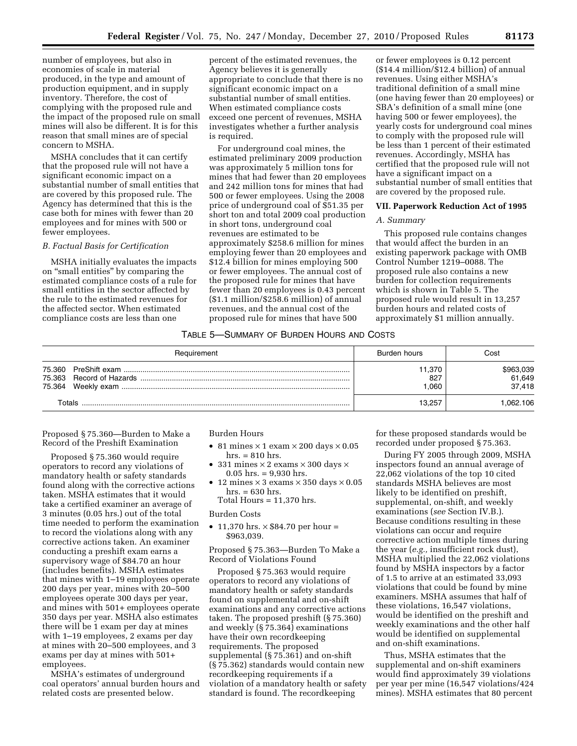number of employees, but also in economies of scale in material produced, in the type and amount of production equipment, and in supply inventory. Therefore, the cost of complying with the proposed rule and the impact of the proposed rule on small mines will also be different. It is for this reason that small mines are of special concern to MSHA.

MSHA concludes that it can certify that the proposed rule will not have a significant economic impact on a substantial number of small entities that are covered by this proposed rule. The Agency has determined that this is the case both for mines with fewer than 20 employees and for mines with 500 or fewer employees.

#### *B. Factual Basis for Certification*

MSHA initially evaluates the impacts on ''small entities'' by comparing the estimated compliance costs of a rule for small entities in the sector affected by the rule to the estimated revenues for the affected sector. When estimated compliance costs are less than one

percent of the estimated revenues, the Agency believes it is generally appropriate to conclude that there is no significant economic impact on a substantial number of small entities. When estimated compliance costs exceed one percent of revenues, MSHA investigates whether a further analysis is required.

For underground coal mines, the estimated preliminary 2009 production was approximately 5 million tons for mines that had fewer than 20 employees and 242 million tons for mines that had 500 or fewer employees. Using the 2008 price of underground coal of \$51.35 per short ton and total 2009 coal production in short tons, underground coal revenues are estimated to be approximately \$258.6 million for mines employing fewer than 20 employees and \$12.4 billion for mines employing 500 or fewer employees. The annual cost of the proposed rule for mines that have fewer than 20 employees is 0.43 percent (\$1.1 million/\$258.6 million) of annual revenues, and the annual cost of the proposed rule for mines that have 500

or fewer employees is 0.12 percent (\$14.4 million/\$12.4 billion) of annual revenues. Using either MSHA's traditional definition of a small mine (one having fewer than 20 employees) or SBA's definition of a small mine (one having 500 or fewer employees), the yearly costs for underground coal mines to comply with the proposed rule will be less than 1 percent of their estimated revenues. Accordingly, MSHA has certified that the proposed rule will not have a significant impact on a substantial number of small entities that are covered by the proposed rule.

#### **VII. Paperwork Reduction Act of 1995**

### *A. Summary*

This proposed rule contains changes that would affect the burden in an existing paperwork package with OMB Control Number 1219–0088. The proposed rule also contains a new burden for collection requirements which is shown in Table 5. The proposed rule would result in 13,257 burden hours and related costs of approximately \$1 million annually.

### TABLE 5—SUMMARY OF BURDEN HOURS AND COSTS

|        | Requirement | Burden hours         | Cost                          |
|--------|-------------|----------------------|-------------------------------|
|        |             | 1.370<br>827<br>.060 | \$963,039<br>61,649<br>37.418 |
| Totals |             | 13.257               | .062.106                      |

Proposed § 75.360—Burden to Make a Record of the Preshift Examination

Proposed § 75.360 would require operators to record any violations of mandatory health or safety standards found along with the corrective actions taken. MSHA estimates that it would take a certified examiner an average of 3 minutes (0.05 hrs.) out of the total time needed to perform the examination to record the violations along with any corrective actions taken. An examiner conducting a preshift exam earns a supervisory wage of \$84.70 an hour (includes benefits). MSHA estimates that mines with 1–19 employees operate 200 days per year, mines with 20–500 employees operate 300 days per year, and mines with 501+ employees operate 350 days per year. MSHA also estimates there will be 1 exam per day at mines with 1–19 employees, 2 exams per day at mines with 20–500 employees, and 3 exams per day at mines with 501+ employees.

MSHA's estimates of underground coal operators' annual burden hours and related costs are presented below.

### Burden Hours

- 81 mines  $\times$  1 exam  $\times$  200 days  $\times$  0.05 hrs. = 810 hrs.
- 331 mines  $\times$  2 exams  $\times$  300 days  $\times$  $0.05$  hrs. = 9,930 hrs.
- 12 mines  $\times$  3 exams  $\times$  350 days  $\times$  0.05 hrs. = 630 hrs.
	- Total Hours  $= 11,370$  hrs.

#### Burden Costs

• 11,370 hrs.  $\times$  \$84.70 per hour = \$963,039.

Proposed § 75.363—Burden To Make a Record of Violations Found

Proposed § 75.363 would require operators to record any violations of mandatory health or safety standards found on supplemental and on-shift examinations and any corrective actions taken. The proposed preshift (§ 75.360) and weekly (§ 75.364) examinations have their own recordkeeping requirements. The proposed supplemental (§ 75.361) and on-shift (§ 75.362) standards would contain new recordkeeping requirements if a violation of a mandatory health or safety standard is found. The recordkeeping

for these proposed standards would be recorded under proposed § 75.363.

During FY 2005 through 2009, MSHA inspectors found an annual average of 22,062 violations of the top 10 cited standards MSHA believes are most likely to be identified on preshift, supplemental, on-shift, and weekly examinations (*see* Section IV.B.). Because conditions resulting in these violations can occur and require corrective action multiple times during the year (*e.g.,* insufficient rock dust), MSHA multiplied the 22,062 violations found by MSHA inspectors by a factor of 1.5 to arrive at an estimated 33,093 violations that could be found by mine examiners. MSHA assumes that half of these violations, 16,547 violations, would be identified on the preshift and weekly examinations and the other half would be identified on supplemental and on-shift examinations.

Thus, MSHA estimates that the supplemental and on-shift examiners would find approximately 39 violations per year per mine (16,547 violations/424 mines). MSHA estimates that 80 percent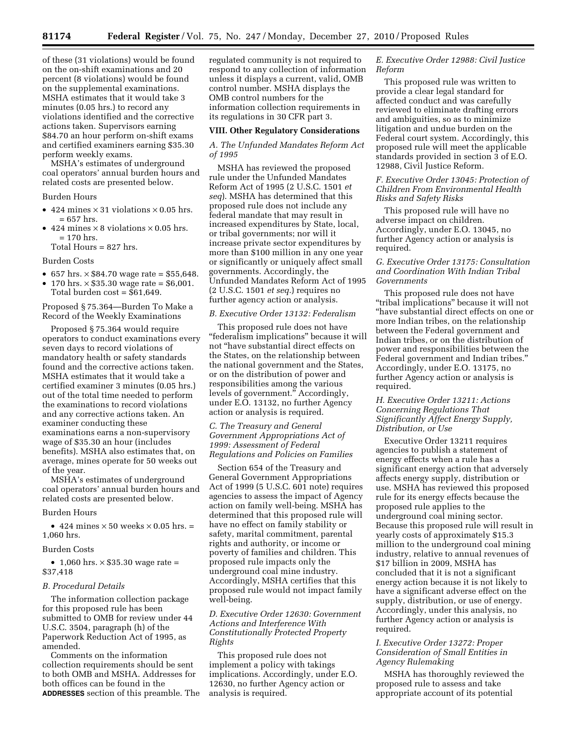of these (31 violations) would be found on the on-shift examinations and 20 percent (8 violations) would be found on the supplemental examinations. MSHA estimates that it would take 3 minutes (0.05 hrs.) to record any violations identified and the corrective actions taken. Supervisors earning \$84.70 an hour perform on-shift exams and certified examiners earning \$35.30 perform weekly exams.

MSHA's estimates of underground coal operators' annual burden hours and related costs are presented below.

#### Burden Hours

- 424 mines  $\times$  31 violations  $\times$  0.05 hrs. = 657 hrs.
- 424 mines  $\times$  8 violations  $\times$  0.05 hrs. = 170 hrs.
	- Total Hours = 827 hrs.

#### Burden Costs

- $657 \text{ hrs.} \times $84.70 \text{ wage rate} = $55,648.$
- 170 hrs.  $\times$  \$35.30 wage rate = \$6,001. Total burden cost = \$61,649.

# Proposed § 75.364—Burden To Make a Record of the Weekly Examinations

Proposed § 75.364 would require operators to conduct examinations every seven days to record violations of mandatory health or safety standards found and the corrective actions taken. MSHA estimates that it would take a certified examiner 3 minutes (0.05 hrs.) out of the total time needed to perform the examinations to record violations and any corrective actions taken. An examiner conducting these examinations earns a non-supervisory wage of \$35.30 an hour (includes benefits). MSHA also estimates that, on average, mines operate for 50 weeks out of the year.

MSHA's estimates of underground coal operators' annual burden hours and related costs are presented below.

#### Burden Hours

• 424 mines  $\times$  50 weeks  $\times$  0.05 hrs. = 1,060 hrs.

#### Burden Costs

• 1,060 hrs.  $\times$  \$35.30 wage rate = \$37,418

#### *B. Procedural Details*

The information collection package for this proposed rule has been submitted to OMB for review under 44 U.S.C. 3504, paragraph (h) of the Paperwork Reduction Act of 1995, as amended.

Comments on the information collection requirements should be sent to both OMB and MSHA. Addresses for both offices can be found in the **ADDRESSES** section of this preamble. The regulated community is not required to respond to any collection of information unless it displays a current, valid, OMB control number. MSHA displays the OMB control numbers for the information collection requirements in its regulations in 30 CFR part 3.

#### **VIII. Other Regulatory Considerations**

### *A. The Unfunded Mandates Reform Act of 1995*

MSHA has reviewed the proposed rule under the Unfunded Mandates Reform Act of 1995 (2 U.S.C. 1501 *et seq*). MSHA has determined that this proposed rule does not include any federal mandate that may result in increased expenditures by State, local, or tribal governments; nor will it increase private sector expenditures by more than \$100 million in any one year or significantly or uniquely affect small governments. Accordingly, the Unfunded Mandates Reform Act of 1995 (2 U.S.C. 1501 *et seq.*) requires no further agency action or analysis.

#### *B. Executive Order 13132: Federalism*

This proposed rule does not have ''federalism implications'' because it will not ''have substantial direct effects on the States, on the relationship between the national government and the States, or on the distribution of power and responsibilities among the various levels of government.'' Accordingly, under E.O. 13132, no further Agency action or analysis is required.

### *C. The Treasury and General Government Appropriations Act of 1999: Assessment of Federal Regulations and Policies on Families*

Section 654 of the Treasury and General Government Appropriations Act of 1999 (5 U.S.C. 601 note) requires agencies to assess the impact of Agency action on family well-being. MSHA has determined that this proposed rule will have no effect on family stability or safety, marital commitment, parental rights and authority, or income or poverty of families and children. This proposed rule impacts only the underground coal mine industry. Accordingly, MSHA certifies that this proposed rule would not impact family well-being.

### *D. Executive Order 12630: Government Actions and Interference With Constitutionally Protected Property Rights*

This proposed rule does not implement a policy with takings implications. Accordingly, under E.O. 12630, no further Agency action or analysis is required.

### *E. Executive Order 12988: Civil Justice Reform*

This proposed rule was written to provide a clear legal standard for affected conduct and was carefully reviewed to eliminate drafting errors and ambiguities, so as to minimize litigation and undue burden on the Federal court system. Accordingly, this proposed rule will meet the applicable standards provided in section 3 of E.O. 12988, Civil Justice Reform.

#### *F. Executive Order 13045: Protection of Children From Environmental Health Risks and Safety Risks*

This proposed rule will have no adverse impact on children. Accordingly, under E.O. 13045, no further Agency action or analysis is required.

### *G. Executive Order 13175: Consultation and Coordination With Indian Tribal Governments*

This proposed rule does not have ''tribal implications'' because it will not ''have substantial direct effects on one or more Indian tribes, on the relationship between the Federal government and Indian tribes, or on the distribution of power and responsibilities between the Federal government and Indian tribes.'' Accordingly, under E.O. 13175, no further Agency action or analysis is required.

### *H. Executive Order 13211: Actions Concerning Regulations That Significantly Affect Energy Supply, Distribution, or Use*

Executive Order 13211 requires agencies to publish a statement of energy effects when a rule has a significant energy action that adversely affects energy supply, distribution or use. MSHA has reviewed this proposed rule for its energy effects because the proposed rule applies to the underground coal mining sector. Because this proposed rule will result in yearly costs of approximately \$15.3 million to the underground coal mining industry, relative to annual revenues of \$17 billion in 2009, MSHA has concluded that it is not a significant energy action because it is not likely to have a significant adverse effect on the supply, distribution, or use of energy. Accordingly, under this analysis, no further Agency action or analysis is required.

### *I. Executive Order 13272: Proper Consideration of Small Entities in Agency Rulemaking*

MSHA has thoroughly reviewed the proposed rule to assess and take appropriate account of its potential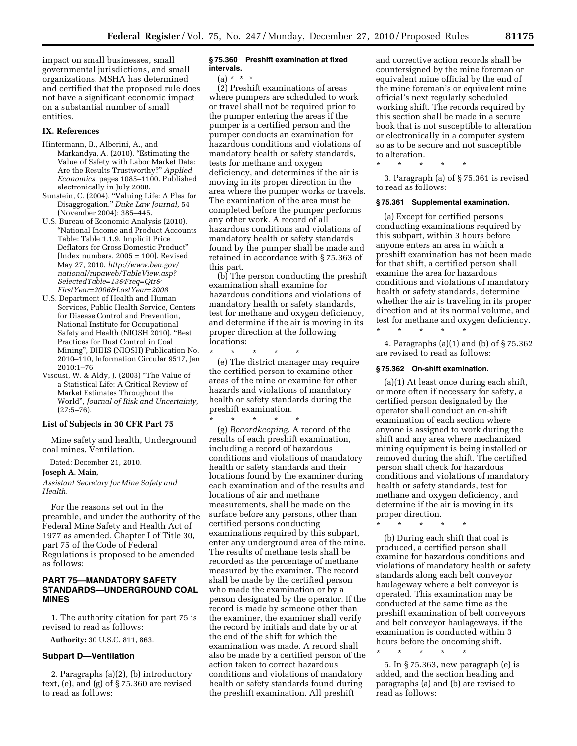impact on small businesses, small governmental jurisdictions, and small organizations. MSHA has determined and certified that the proposed rule does not have a significant economic impact on a substantial number of small entities.

#### **IX. References**

- Hintermann, B., Alberini, A., and Markandya, A. (2010). "Estimating the Value of Safety with Labor Market Data: Are the Results Trustworthy?'' *Applied Economics,* pages 1085–1100. Published electronically in July 2008.
- Sunstein, C. (2004). ''Valuing Life: A Plea for Disaggregation.'' *Duke Law Journal,* 54 (November 2004): 385–445.
- U.S. Bureau of Economic Analysis (2010). ''National Income and Product Accounts Table: Table 1.1.9. Implicit Price Deflators for Gross Domestic Product'' [Index numbers, 2005 = 100]. Revised May 27, 2010. *[http://www.bea.gov/](http://www.bea.gov/national/nipaweb/TableView.asp?SelectedTable=13&Freq=Qtr&FirstYear=2006&LastYear=2008) [national/nipaweb/TableView.asp?](http://www.bea.gov/national/nipaweb/TableView.asp?SelectedTable=13&Freq=Qtr&FirstYear=2006&LastYear=2008) [SelectedTable=13&Freq=Qtr&](http://www.bea.gov/national/nipaweb/TableView.asp?SelectedTable=13&Freq=Qtr&FirstYear=2006&LastYear=2008) [FirstYear=2006&LastYear=2008](http://www.bea.gov/national/nipaweb/TableView.asp?SelectedTable=13&Freq=Qtr&FirstYear=2006&LastYear=2008)*
- U.S. Department of Health and Human Services, Public Health Service, Centers for Disease Control and Prevention, National Institute for Occupational Safety and Health (NIOSH 2010), ''Best Practices for Dust Control in Coal Mining'', DHHS (NIOSH) Publication No. 2010–110, Information Circular 9517, Jan 2010:1–76
- Viscusi, W. & Aldy, J. (2003) ''The Value of a Statistical Life: A Critical Review of Market Estimates Throughout the World'', *Journal of Risk and Uncertainty,*  (27:5–76).

#### **List of Subjects in 30 CFR Part 75**

Mine safety and health, Underground coal mines, Ventilation.

Dated: December 21, 2010.

#### **Joseph A. Main,**

*Assistant Secretary for Mine Safety and Health.* 

For the reasons set out in the preamble, and under the authority of the Federal Mine Safety and Health Act of 1977 as amended, Chapter I of Title 30, part 75 of the Code of Federal Regulations is proposed to be amended as follows:

# **PART 75—MANDATORY SAFETY STANDARDS—UNDERGROUND COAL MINES**

1. The authority citation for part 75 is revised to read as follows:

**Authority:** 30 U.S.C. 811, 863.

#### **Subpart D—Ventilation**

2. Paragraphs (a)(2), (b) introductory text, (e), and (g) of § 75.360 are revised to read as follows:

#### **§ 75.360 Preshift examination at fixed intervals.**

 $(a) * *$ 

(2) Preshift examinations of areas where pumpers are scheduled to work or travel shall not be required prior to the pumper entering the areas if the pumper is a certified person and the pumper conducts an examination for hazardous conditions and violations of mandatory health or safety standards, tests for methane and oxygen deficiency, and determines if the air is moving in its proper direction in the area where the pumper works or travels. The examination of the area must be completed before the pumper performs any other work. A record of all hazardous conditions and violations of mandatory health or safety standards found by the pumper shall be made and retained in accordance with § 75.363 of this part.

(b) The person conducting the preshift examination shall examine for hazardous conditions and violations of mandatory health or safety standards, test for methane and oxygen deficiency, and determine if the air is moving in its proper direction at the following locations:

\* \* \* \* \* (e) The district manager may require the certified person to examine other areas of the mine or examine for other hazards and violations of mandatory health or safety standards during the preshift examination.

\* \* \* \* \* (g) *Recordkeeping.* A record of the results of each preshift examination, including a record of hazardous conditions and violations of mandatory health or safety standards and their locations found by the examiner during each examination and of the results and locations of air and methane measurements, shall be made on the surface before any persons, other than certified persons conducting examinations required by this subpart, enter any underground area of the mine. The results of methane tests shall be recorded as the percentage of methane measured by the examiner. The record shall be made by the certified person who made the examination or by a person designated by the operator. If the record is made by someone other than the examiner, the examiner shall verify the record by initials and date by or at the end of the shift for which the examination was made. A record shall also be made by a certified person of the action taken to correct hazardous conditions and violations of mandatory health or safety standards found during the preshift examination. All preshift

and corrective action records shall be countersigned by the mine foreman or equivalent mine official by the end of the mine foreman's or equivalent mine official's next regularly scheduled working shift. The records required by this section shall be made in a secure book that is not susceptible to alteration or electronically in a computer system so as to be secure and not susceptible to alteration.

\* \* \* \* \*

3. Paragraph (a) of § 75.361 is revised to read as follows:

#### **§ 75.361 Supplemental examination.**

(a) Except for certified persons conducting examinations required by this subpart, within 3 hours before anyone enters an area in which a preshift examination has not been made for that shift, a certified person shall examine the area for hazardous conditions and violations of mandatory health or safety standards, determine whether the air is traveling in its proper direction and at its normal volume, and test for methane and oxygen deficiency.

4. Paragraphs (a)(1) and (b) of § 75.362 are revised to read as follows:

#### **§ 75.362 On-shift examination.**

\* \* \* \* \*

(a)(1) At least once during each shift, or more often if necessary for safety, a certified person designated by the operator shall conduct an on-shift examination of each section where anyone is assigned to work during the shift and any area where mechanized mining equipment is being installed or removed during the shift. The certified person shall check for hazardous conditions and violations of mandatory health or safety standards, test for methane and oxygen deficiency, and determine if the air is moving in its proper direction.

\* \* \* \* \*

(b) During each shift that coal is produced, a certified person shall examine for hazardous conditions and violations of mandatory health or safety standards along each belt conveyor haulageway where a belt conveyor is operated. This examination may be conducted at the same time as the preshift examination of belt conveyors and belt conveyor haulageways, if the examination is conducted within 3 hours before the oncoming shift.

5. In § 75.363, new paragraph (e) is added, and the section heading and paragraphs (a) and (b) are revised to read as follows:

\* \* \* \* \*